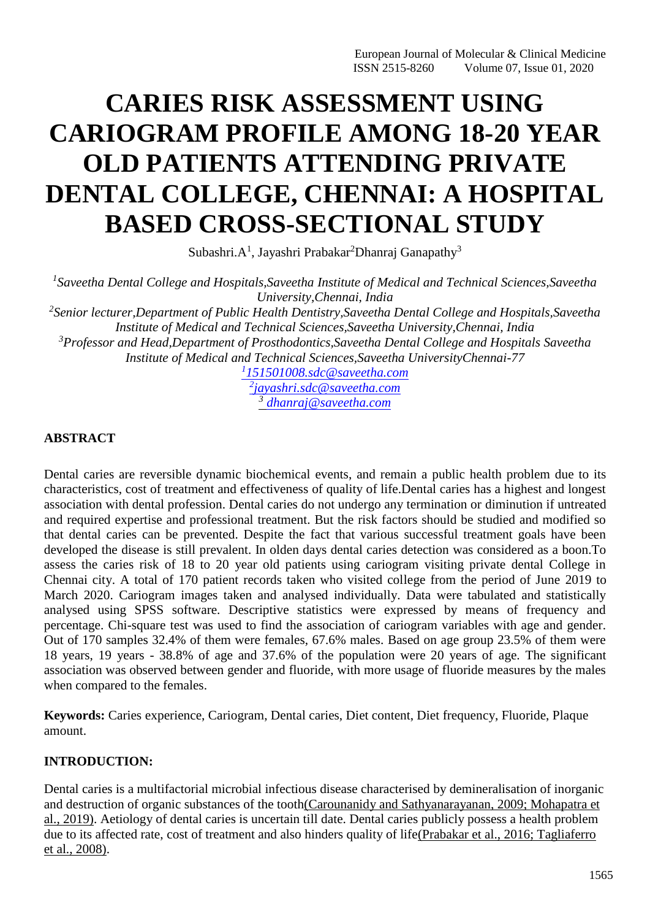# **CARIES RISK ASSESSMENT USING CARIOGRAM PROFILE AMONG 18-20 YEAR OLD PATIENTS ATTENDING PRIVATE DENTAL COLLEGE, CHENNAI: A HOSPITAL BASED CROSS-SECTIONAL STUDY**

Subashri. $A^1$ , Jayashri Prabakar<sup>2</sup>Dhanraj Ganapathy<sup>3</sup>

*1 Saveetha Dental College and Hospitals,Saveetha Institute of Medical and Technical Sciences,Saveetha University,Chennai, India 2 Senior lecturer,Department of Public Health Dentistry,Saveetha Dental College and Hospitals,Saveetha Institute of Medical and Technical Sciences,Saveetha University,Chennai, India*

*<sup>3</sup>Professor and Head,Department of Prosthodontics,Saveetha Dental College and Hospitals Saveetha Institute of Medical and Technical Sciences,Saveetha UniversityChennai-77*

> *1 [151501008.sdc@saveetha.com](mailto:1151501008.sdc@saveetha.com) 2 [jayashri.sdc@saveetha.com](mailto:2jayashri.sdc@saveetha.com) 3 [dhanraj@saveetha.com](mailto:dhanraj@saveetha.com)*

# **ABSTRACT**

Dental caries are reversible dynamic biochemical events, and remain a public health problem due to its characteristics, cost of treatment and effectiveness of quality of life.Dental caries has a highest and longest association with dental profession. Dental caries do not undergo any termination or diminution if untreated and required expertise and professional treatment. But the risk factors should be studied and modified so that dental caries can be prevented. Despite the fact that various successful treatment goals have been developed the disease is still prevalent. In olden days dental caries detection was considered as a boon.To assess the caries risk of 18 to 20 year old patients using cariogram visiting private dental College in Chennai city. A total of 170 patient records taken who visited college from the period of June 2019 to March 2020. Cariogram images taken and analysed individually. Data were tabulated and statistically analysed using SPSS software. Descriptive statistics were expressed by means of frequency and percentage. Chi-square test was used to find the association of cariogram variables with age and gender. Out of 170 samples 32.4% of them were females, 67.6% males. Based on age group 23.5% of them were 18 years, 19 years - 38.8% of age and 37.6% of the population were 20 years of age. The significant association was observed between gender and fluoride, with more usage of fluoride measures by the males when compared to the females.

**Keywords:** Caries experience, Cariogram, Dental caries, Diet content, Diet frequency, Fluoride, Plaque amount.

# **INTRODUCTION:**

Dental caries is a multifactorial microbial infectious disease characterised by demineralisation of inorganic and destruction of organic substances of the toot[h\(Carounanidy and Sathyanarayanan, 2009; Mohapatra et](https://paperpile.com/c/GASxxt/4loY%2BVhTg) [al., 2019\).](https://paperpile.com/c/GASxxt/4loY%2BVhTg) Aetiology of dental caries is uncertain till date. Dental caries publicly possess a health problem due to its affected rate, cost of treatment and also hinders quality of lif[e\(Prabakar et al., 2016; Tagliaferro](https://paperpile.com/c/GASxxt/HSFm%2BeQTG) [et al., 2008\).](https://paperpile.com/c/GASxxt/HSFm%2BeQTG)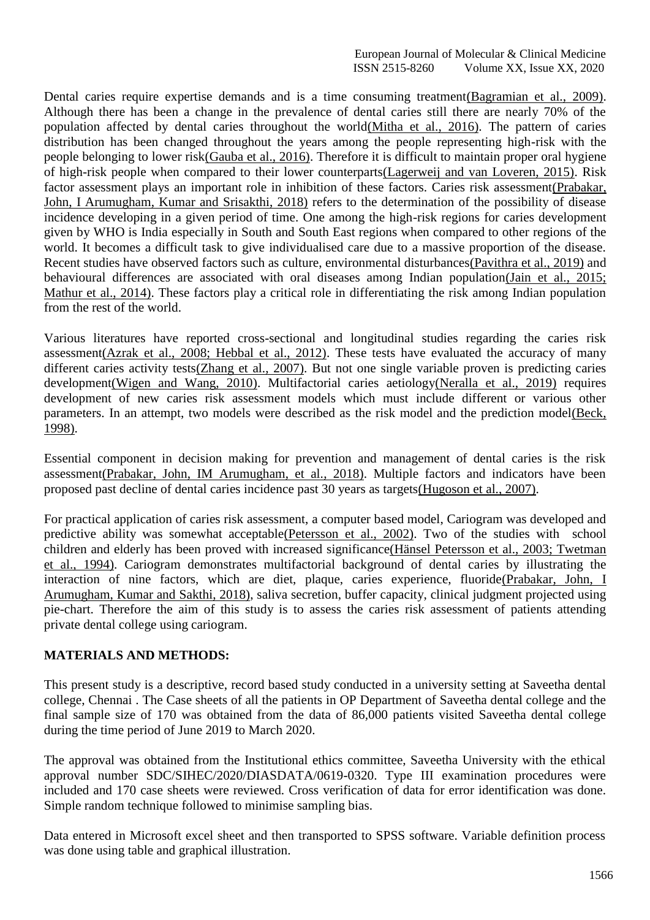Dental caries require expertise demands and is a time consuming treatmen[t\(Bagramian et al., 2009\).](https://paperpile.com/c/GASxxt/0DET) Although there has been a change in the prevalence of dental caries still there are nearly 70% of the population affected by dental caries throughout the worl[d\(Mitha et al., 2016\).](https://paperpile.com/c/GASxxt/424G) The pattern of caries distribution has been changed throughout the years among the people representing high-risk with the people belonging to lower ris[k\(Gauba et al., 2016\).](https://paperpile.com/c/GASxxt/2rWD) Therefore it is difficult to maintain proper oral hygiene of high-risk people when compared to their lower counterpart[s\(Lagerweij and van Loveren, 2015\).](https://paperpile.com/c/GASxxt/R7T2) Risk factor assessment plays an important role in inhibition of these factors. Caries risk assessmen[t\(Prabakar,](https://paperpile.com/c/GASxxt/z3B3) [John, I Arumugham, Kumar and Srisakthi, 2018\)](https://paperpile.com/c/GASxxt/z3B3) refers to the determination of the possibility of disease incidence developing in a given period of time. One among the high-risk regions for caries development given by WHO is India especially in South and South East regions when compared to other regions of the world. It becomes a difficult task to give individualised care due to a massive proportion of the disease. Recent studies have observed factors such as culture, environmental disturbance[s\(Pavithra et al., 2019\)](https://paperpile.com/c/GASxxt/TSdx) and behavioural differences are associated with oral diseases among Indian populatio[n\(Jain et al., 2015;](https://paperpile.com/c/GASxxt/KcFo%2BERrI) Mathur et [al., 2014\).](https://paperpile.com/c/GASxxt/KcFo%2BERrI) These factors play a critical role in differentiating the risk among Indian population from the rest of the world.

Various literatures have reported cross-sectional and longitudinal studies regarding the caries risk assessmen[t\(Azrak et al., 2008; Hebbal et al., 2012\).](https://paperpile.com/c/GASxxt/iL8d%2BVw7B) These tests have evaluated the accuracy of many different caries activity test[s\(Zhang et al., 2007\).](https://paperpile.com/c/GASxxt/MK3u) But not one single variable proven is predicting caries developmen[t\(Wigen and Wang, 2010\).](https://paperpile.com/c/GASxxt/tqOs) Multifactorial caries aetiolog[y\(Neralla et al., 2019\)](https://paperpile.com/c/GASxxt/Q93y) requires development of new caries risk assessment models which must include different or various other parameters. In an attempt, two models were described as the risk model and the prediction mode[l\(Beck,](https://paperpile.com/c/GASxxt/fnYe) [1998\).](https://paperpile.com/c/GASxxt/fnYe)

Essential component in decision making for prevention and management of dental caries is the risk assessmen[t\(Prabakar, John, IM Arumugham, et al., 2018\).](https://paperpile.com/c/GASxxt/UwzY) Multiple factors and indicators have been proposed past decline of dental caries incidence past 30 years as target[s\(Hugoson et al., 2007\).](https://paperpile.com/c/GASxxt/loqF)

For practical application of caries risk assessment, a computer based model, Cariogram was developed and predictive ability was somewhat acceptabl[e\(Petersson et al., 2002\).](https://paperpile.com/c/GASxxt/UdPJ) Two of the studies with school children and elderly has been proved with increased significanc[e\(Hänsel Petersson et al., 2003; Twetman](https://paperpile.com/c/GASxxt/JEim%2BCnHT) [et al., 1994\).](https://paperpile.com/c/GASxxt/JEim%2BCnHT) Cariogram demonstrates multifactorial background of dental caries by illustrating the interaction of nine factors, which are diet, plaque, caries experience, fluorid[e\(Prabakar, John, I](https://paperpile.com/c/GASxxt/Ajrs) [Arumugham, Kumar and Sakthi, 2018\), s](https://paperpile.com/c/GASxxt/Ajrs)aliva secretion, buffer capacity, clinical judgment projected using pie-chart. Therefore the aim of this study is to assess the caries risk assessment of patients attending private dental college using cariogram.

# **MATERIALS AND METHODS:**

This present study is a descriptive, record based study conducted in a university setting at Saveetha dental college, Chennai . The Case sheets of all the patients in OP Department of Saveetha dental college and the final sample size of 170 was obtained from the data of 86,000 patients visited Saveetha dental college during the time period of June 2019 to March 2020.

The approval was obtained from the Institutional ethics committee, Saveetha University with the ethical approval number SDC/SIHEC/2020/DIASDATA/0619-0320. Type III examination procedures were included and 170 case sheets were reviewed. Cross verification of data for error identification was done. Simple random technique followed to minimise sampling bias.

Data entered in Microsoft excel sheet and then transported to SPSS software. Variable definition process was done using table and graphical illustration.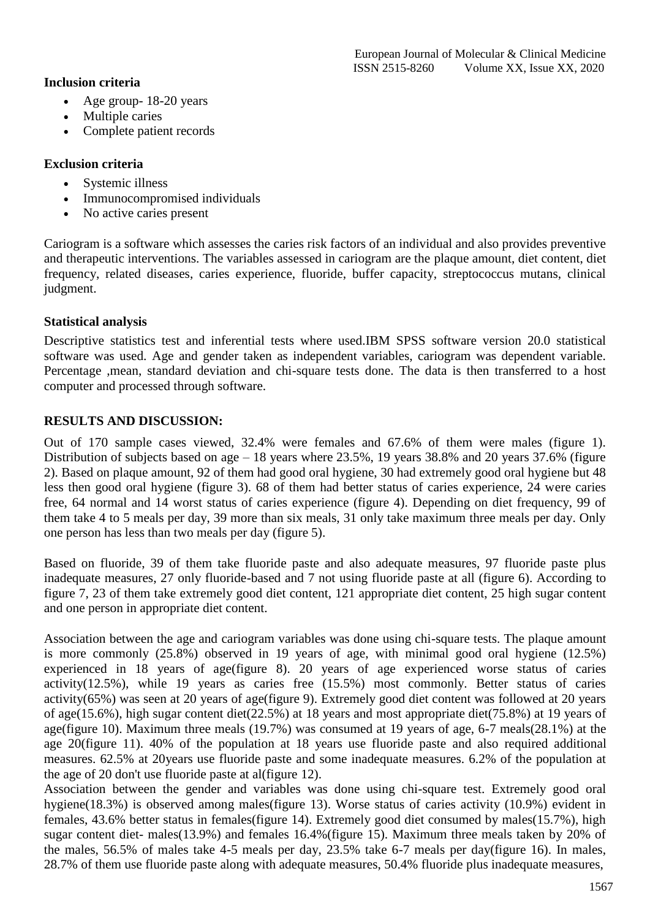# **Inclusion criteria**

- Age group- 18-20 years
- Multiple caries
- Complete patient records

# **Exclusion criteria**

- Systemic illness
- Immunocompromised individuals
- No active caries present

Cariogram is a software which assesses the caries risk factors of an individual and also provides preventive and therapeutic interventions. The variables assessed in cariogram are the plaque amount, diet content, diet frequency, related diseases, caries experience, fluoride, buffer capacity, streptococcus mutans, clinical judgment.

# **Statistical analysis**

Descriptive statistics test and inferential tests where used.IBM SPSS software version 20.0 statistical software was used. Age and gender taken as independent variables, cariogram was dependent variable. Percentage ,mean, standard deviation and chi-square tests done. The data is then transferred to a host computer and processed through software.

# **RESULTS AND DISCUSSION:**

Out of 170 sample cases viewed, 32.4% were females and 67.6% of them were males (figure 1). Distribution of subjects based on age – 18 years where 23.5%, 19 years 38.8% and 20 years 37.6% (figure 2). Based on plaque amount, 92 of them had good oral hygiene, 30 had extremely good oral hygiene but 48 less then good oral hygiene (figure 3). 68 of them had better status of caries experience, 24 were caries free, 64 normal and 14 worst status of caries experience (figure 4). Depending on diet frequency, 99 of them take 4 to 5 meals per day, 39 more than six meals, 31 only take maximum three meals per day. Only one person has less than two meals per day (figure 5).

Based on fluoride, 39 of them take fluoride paste and also adequate measures, 97 fluoride paste plus inadequate measures, 27 only fluoride-based and 7 not using fluoride paste at all (figure 6). According to figure 7, 23 of them take extremely good diet content, 121 appropriate diet content, 25 high sugar content and one person in appropriate diet content.

Association between the age and cariogram variables was done using chi-square tests. The plaque amount is more commonly (25.8%) observed in 19 years of age, with minimal good oral hygiene (12.5%) experienced in 18 years of age(figure 8). 20 years of age experienced worse status of caries activity(12.5%), while 19 years as caries free (15.5%) most commonly. Better status of caries activity(65%) was seen at 20 years of age(figure 9). Extremely good diet content was followed at 20 years of age(15.6%), high sugar content diet(22.5%) at 18 years and most appropriate diet(75.8%) at 19 years of age(figure 10). Maximum three meals (19.7%) was consumed at 19 years of age, 6-7 meals(28.1%) at the age 20(figure 11). 40% of the population at 18 years use fluoride paste and also required additional measures. 62.5% at 20years use fluoride paste and some inadequate measures. 6.2% of the population at the age of 20 don't use fluoride paste at al(figure 12).

Association between the gender and variables was done using chi-square test. Extremely good oral hygiene(18.3%) is observed among males(figure 13). Worse status of caries activity (10.9%) evident in females, 43.6% better status in females(figure 14). Extremely good diet consumed by males(15.7%), high sugar content diet- males(13.9%) and females 16.4%(figure 15). Maximum three meals taken by 20% of the males, 56.5% of males take 4-5 meals per day, 23.5% take 6-7 meals per day(figure 16). In males, 28.7% of them use fluoride paste along with adequate measures, 50.4% fluoride plus inadequate measures,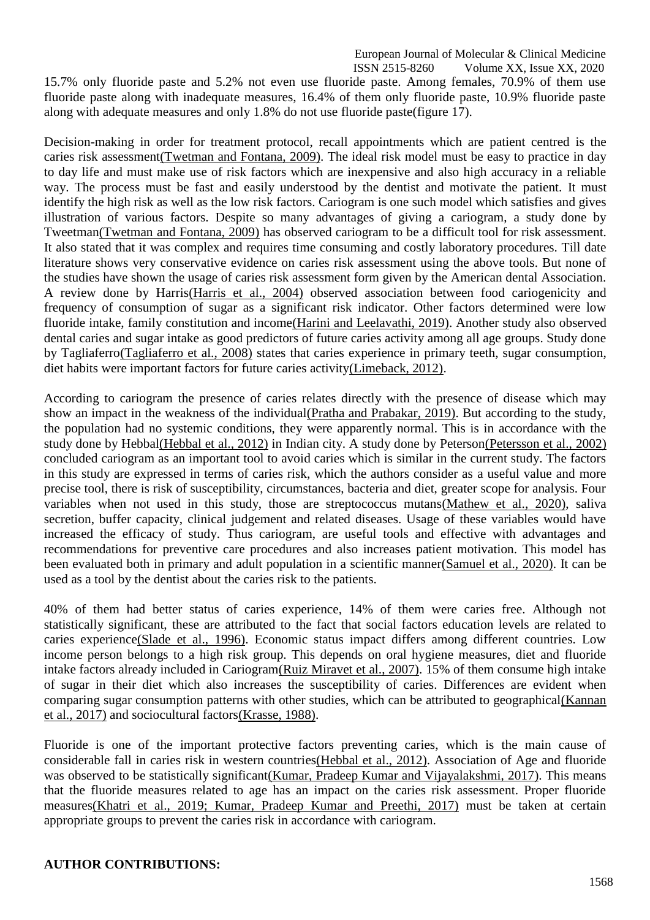European Journal of Molecular & Clinical Medicine

ISSN 2515-8260 Volume XX, Issue XX, 2020 15.7% only fluoride paste and 5.2% not even use fluoride paste. Among females, 70.9% of them use fluoride paste along with inadequate measures, 16.4% of them only fluoride paste, 10.9% fluoride paste along with adequate measures and only 1.8% do not use fluoride paste(figure 17).

Decision-making in order for treatment protocol, recall appointments which are patient centred is the caries risk assessmen[t\(Twetman and Fontana, 2009\).](https://paperpile.com/c/GASxxt/Ql3e) The ideal risk model must be easy to practice in day to day life and must make use of risk factors which are inexpensive and also high accuracy in a reliable way. The process must be fast and easily understood by the dentist and motivate the patient. It must identify the high risk as well as the low risk factors. Cariogram is one such model which satisfies and gives illustration of various factors. Despite so many advantages of giving a cariogram, a study done by Tweetma[n\(Twetman and Fontana, 2009\)](https://paperpile.com/c/GASxxt/Ql3e) has observed cariogram to be a difficult tool for risk assessment. It also stated that it was complex and requires time consuming and costly laboratory procedures. Till date literature shows very conservative evidence on caries risk assessment using the above tools. But none of the studies have shown the usage of caries risk assessment form given by the American dental Association. A review done by Harri[s\(Harris et al., 2004\)](https://paperpile.com/c/GASxxt/8FZy) observed association between food cariogenicity and frequency of consumption of sugar as a significant risk indicator. Other factors determined were low fluoride intake, family constitution and incom[e\(Harini and Leelavathi, 2019\).](https://paperpile.com/c/GASxxt/PC90) Another study also observed dental caries and sugar intake as good predictors of future caries activity among all age groups. Study done by Tagliaferr[o\(Tagliaferro et al., 2008\)](https://paperpile.com/c/GASxxt/HSFm) states that caries experience in primary teeth, sugar consumption, diet habits were important factors for future caries activit[y\(Limeback,](https://paperpile.com/c/GASxxt/DbMT) 2012).

According to cariogram the presence of caries relates directly with the presence of disease which may show an impact in the weakness of the individua[l\(Pratha and Prabakar, 2019\).](https://paperpile.com/c/GASxxt/08QU) But according to the study, the population had no systemic conditions, they were apparently normal. This is in accordance with the study done by Hebba[l\(Hebbal et al., 2012\)](https://paperpile.com/c/GASxxt/iL8d) in Indian city. A study done by Peterso[n\(Petersson et al., 2002\)](https://paperpile.com/c/GASxxt/UdPJ) concluded cariogram as an important tool to avoid caries which is similar in the current study. The factors in this study are expressed in terms of caries risk, which the authors consider as a useful value and more precise tool, there is risk of susceptibility, circumstances, bacteria and diet, greater scope for analysis. Four variables when not used in this study, those are streptococcus mutan[s\(Mathew et al., 2020\),](https://paperpile.com/c/GASxxt/DnSL) saliva secretion, buffer capacity, clinical judgement and related diseases. Usage of these variables would have increased the efficacy of study. Thus cariogram, are useful tools and effective with advantages and recommendations for preventive care procedures and also increases patient motivation. This model has been evaluated both in primary and adult population in a scientific manne[r\(Samuel et al., 2020\).](https://paperpile.com/c/GASxxt/xoz5) It can be used as a tool by the dentist about the caries risk to the patients.

40% of them had better status of caries experience, 14% of them were caries free. Although not statistically significant, these are attributed to the fact that social factors education levels are related to caries experienc[e\(Slade et al., 1996\).](https://paperpile.com/c/GASxxt/kaUR) Economic status impact differs among different countries. Low income person belongs to a high risk group. This depends on oral hygiene measures, diet and fluoride intake factors already included in Cariogra[m\(Ruiz Miravet et al., 2007\). 1](https://paperpile.com/c/GASxxt/iqYd)5% of them consume high intake of sugar in their diet which also increases the susceptibility of caries. Differences are evident when comparing sugar consumption patterns with other studies, which can be attributed to geographica[l\(Kannan](https://paperpile.com/c/GASxxt/6659) [et al., 2017\)](https://paperpile.com/c/GASxxt/6659) and sociocultural factor[s\(Krasse,](https://paperpile.com/c/GASxxt/OU4V) 1988).

Fluoride is one of the important protective factors preventing caries, which is the main cause of considerable fall in caries risk in western countrie[s\(Hebbal et al., 2012\). A](https://paperpile.com/c/GASxxt/iL8d)ssociation of Age and fluoride was observed to be statistically significan[t\(Kumar, Pradeep Kumar and Vijayalakshmi, 2017\).](https://paperpile.com/c/GASxxt/dSZL) This means that the fluoride measures related to age has an impact on the caries risk assessment. Proper fluoride measure[s\(Khatri et al., 2019; Kumar, Pradeep Kumar and Preethi, 2017\)](https://paperpile.com/c/GASxxt/zeFN%2BcRS4) must be taken at certain appropriate groups to prevent the caries risk in accordance with cariogram.

# **AUTHOR CONTRIBUTIONS:**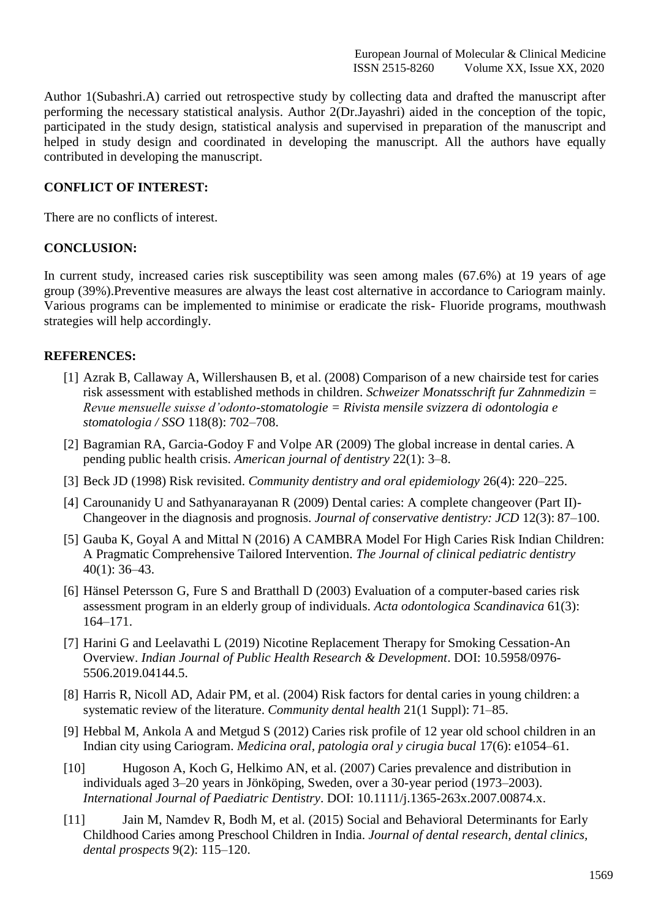Author 1(Subashri.A) carried out retrospective study by collecting data and drafted the manuscript after performing the necessary statistical analysis. Author 2(Dr.Jayashri) aided in the conception of the topic, participated in the study design, statistical analysis and supervised in preparation of the manuscript and helped in study design and coordinated in developing the manuscript. All the authors have equally contributed in developing the manuscript.

## **CONFLICT OF INTEREST:**

There are no conflicts of interest.

## **CONCLUSION:**

In current study, increased caries risk susceptibility was seen among males (67.6%) at 19 years of age group (39%).Preventive measures are always the least cost alternative in accordance to Cariogram mainly. Various programs can be implemented to minimise or eradicate the risk- Fluoride programs, mouthwash strategies will help accordingly.

# **REFERENCES:**

- [1] [Azrak B, Callaway A, Willershausen B, et al. \(2008\) Comparison of a new chairside test for](http://paperpile.com/b/GASxxt/Vw7B) carie[s](http://paperpile.com/b/GASxxt/Vw7B) [risk assessment with established methods in children.](http://paperpile.com/b/GASxxt/Vw7B) *Schweizer Monatsschrift fur Zahnmedizin [=](http://paperpile.com/b/GASxxt/Vw7B) [Revue mensuelle suisse d'odonto-stomatologie = Rivista mensile svizzera di odontologia e](http://paperpile.com/b/GASxxt/Vw7B) [stomatologia / SSO](http://paperpile.com/b/GASxxt/Vw7B)* 118(8): 702–708.
- [2] [Bagramian RA, Garcia-Godoy F and Volpe AR \(2009\) The global increase in dental caries.](http://paperpile.com/b/GASxxt/0DET) [A](http://paperpile.com/b/GASxxt/0DET) pending public health crisis. *[American journal of dentistry](http://paperpile.com/b/GASxxt/0DET)* 22(1): 3–8.
- [3] Beck JD (1998) Risk revisited. *[Community dentistry and oral epidemiology](http://paperpile.com/b/GASxxt/fnYe)* 26(4): 220–225.
- [4] [Carounanidy U and Sathyanarayanan R \(2009\) Dental caries: A complete changeover \(Part II\)-](http://paperpile.com/b/GASxxt/4loY) [Changeover in the diagnosis and prognosis.](http://paperpile.com/b/GASxxt/4loY) *Journal of conservative dentistry: JCD* 12(3): 87–100.
- [5] [Gauba K, Goyal A and Mittal N \(2016\) A CAMBRA Model For High Caries Risk Indian Children:](http://paperpile.com/b/GASxxt/2rWD) [A Pragmatic Comprehensive Tailored Intervention.](http://paperpile.com/b/GASxxt/2rWD) *The Journal of clinical pediatric dentistr[y](http://paperpile.com/b/GASxxt/2rWD)* 40(1): [36–43.](http://paperpile.com/b/GASxxt/2rWD)
- [6] [Hänsel Petersson G, Fure S and Bratthall D \(2003\) Evaluation of a computer-based caries risk](http://paperpile.com/b/GASxxt/JEim) [assessment program in an elderly group of individuals.](http://paperpile.com/b/GASxxt/JEim) *Acta odontologica Scandinavica* 61(3)[:](http://paperpile.com/b/GASxxt/JEim) [164–171.](http://paperpile.com/b/GASxxt/JEim)
- [7] [Harini G and Leelavathi L \(2019\) Nicotine Replacement Therapy for Smoking Cessation-An](http://paperpile.com/b/GASxxt/PC90) Overview. *[Indian Journal of Public Health Research & Development](http://paperpile.com/b/GASxxt/PC90)*. DOI: [10.5958/0976-](http://paperpile.com/b/GASxxt/PC90) [5506.2019.04144.5](http://dx.doi.org/10.5958/0976-5506.2019.04144.5)[.](http://paperpile.com/b/GASxxt/PC90)
- [8] [Harris R, Nicoll AD, Adair PM, et al. \(2004\) Risk factors for dental caries in young children:](http://paperpile.com/b/GASxxt/8FZy) [a](http://paperpile.com/b/GASxxt/8FZy) [systematic review of the literature.](http://paperpile.com/b/GASxxt/8FZy) *Community dental health* 21(1 Suppl): 71–85.
- [9] [Hebbal M, Ankola A and Metgud S \(2012\) Caries risk profile of 12 year old school children in an](http://paperpile.com/b/GASxxt/iL8d) Indian city using Cariogram. *[Medicina oral, patologia oral y cirugia bucal](http://paperpile.com/b/GASxxt/iL8d)* 17(6): e1054–61.
- [10] [Hugoson A, Koch G, Helkimo AN, et al. \(2007\) Caries prevalence and distribution in](http://paperpile.com/b/GASxxt/loqF) [individuals aged 3–20 years in Jönköping, Sweden, over a 30-year period \(1973–2003\).](http://paperpile.com/b/GASxxt/loqF) *[International Journal of Paediatric Dentistry](http://paperpile.com/b/GASxxt/loqF)*. DOI: [10.1111/j.1365-263x.2007.00874.x.](http://paperpile.com/b/GASxxt/loqF)
- [11] [Jain M, Namdev R, Bodh M, et al. \(2015\) Social and Behavioral Determinants for Early](http://paperpile.com/b/GASxxt/KcFo) [Childhood Caries among Preschool Children in India.](http://paperpile.com/b/GASxxt/KcFo) *Journal of dental research, dental clinics[,](http://paperpile.com/b/GASxxt/KcFo) [dental prospects](http://paperpile.com/b/GASxxt/KcFo)* 9(2): 115–120.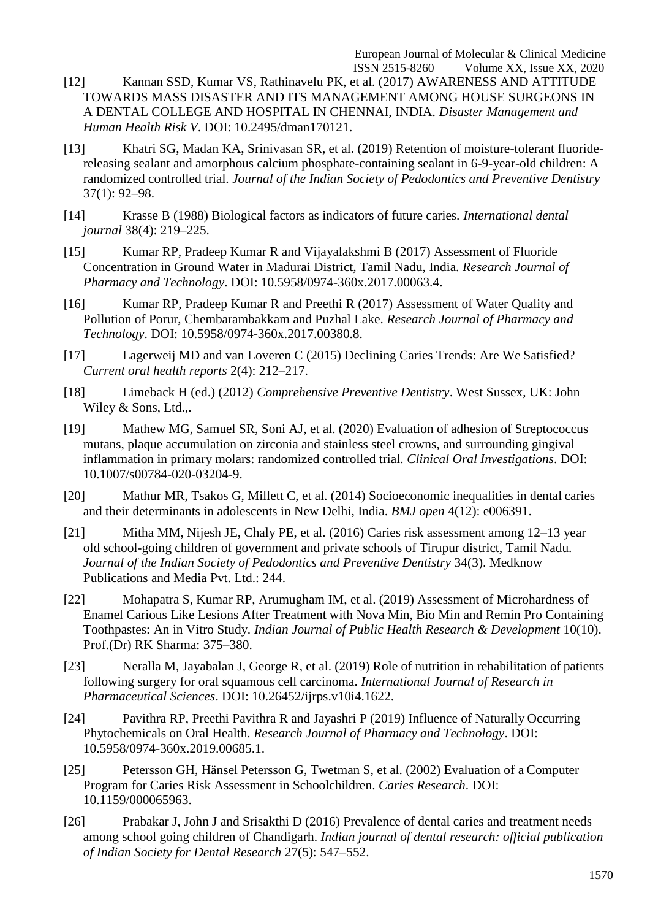- [12] [Kannan SSD, Kumar VS, Rathinavelu PK, et al. \(2017\) AWARENESS AND ATTITUDE](http://paperpile.com/b/GASxxt/6659) [TOWARDS MASS DISASTER AND ITS MANAGEMENT AMONG HOUSE](http://paperpile.com/b/GASxxt/6659) SURGEONS I[N](http://paperpile.com/b/GASxxt/6659) [A DENTAL COLLEGE AND HOSPITAL IN CHENNAI, INDIA.](http://paperpile.com/b/GASxxt/6659) *Disaster Management an[d](http://paperpile.com/b/GASxxt/6659) [Human Health Risk V](http://paperpile.com/b/GASxxt/6659)*. DOI: [10.2495/dman170121](http://paperpile.com/b/GASxxt/6659)[.](http://dx.doi.org/10.2495/dman170121)
- [13] [Khatri SG, Madan KA, Srinivasan SR, et al. \(2019\) Retention of moisture-tolerant fluoride](http://paperpile.com/b/GASxxt/cRS4)[releasing sealant and amorphous calcium phosphate-containing sealant in 6-9-year-old children: A](http://paperpile.com/b/GASxxt/cRS4) randomized controlled trial. *[Journal of the Indian Society of Pedodontics and Preventive Dentistry](http://paperpile.com/b/GASxxt/cRS4)* 37(1): [92–98.](http://paperpile.com/b/GASxxt/cRS4)
- [14] [Krasse B \(1988\) Biological factors as indicators of future caries.](http://paperpile.com/b/GASxxt/OU4V) *International denta[l](http://paperpile.com/b/GASxxt/OU4V) journal* 38(4): [219–225.](http://paperpile.com/b/GASxxt/OU4V)
- [15] [Kumar RP, Pradeep Kumar R and Vijayalakshmi B \(2017\) Assessment of Fluoride](http://paperpile.com/b/GASxxt/dSZL) [Concentration in Ground Water in Madurai District, Tamil Nadu, India.](http://paperpile.com/b/GASxxt/dSZL) *Research Journal o[f](http://paperpile.com/b/GASxxt/dSZL) [Pharmacy and Technology](http://paperpile.com/b/GASxxt/dSZL)*. DOI: [10.5958/0974-360x.2017.00063.4.](http://paperpile.com/b/GASxxt/dSZL)
- [16] [Kumar RP, Pradeep Kumar R and Preethi R \(2017\) Assessment of Water Quality and](http://paperpile.com/b/GASxxt/zeFN) [Pollution of Porur, Chembarambakkam and Puzhal Lake.](http://paperpile.com/b/GASxxt/zeFN) *Research Journal of Pharmacy an[d](http://paperpile.com/b/GASxxt/zeFN) [Technology](http://paperpile.com/b/GASxxt/zeFN)*. DOI: [10.5958/0974-360x.2017.00380.8.](http://paperpile.com/b/GASxxt/zeFN)
- [17] [Lagerweij MD and van Loveren C \(2015\) Declining Caries Trends: Are We](http://paperpile.com/b/GASxxt/R7T2) Satisfied? *[Current oral health reports](http://paperpile.com/b/GASxxt/R7T2)* 2(4): 212–217.
- [18] Limeback H (ed.) (2012) *[Comprehensive Preventive Dentistry](http://paperpile.com/b/GASxxt/DbMT)*. West Sussex, UK: Joh[n](http://paperpile.com/b/GASxxt/DbMT) [Wiley &](http://paperpile.com/b/GASxxt/DbMT) Sons, Ltd.,.
- [19] [Mathew MG, Samuel SR, Soni AJ, et al. \(2020\) Evaluation of adhesion of Streptococcus](http://paperpile.com/b/GASxxt/DnSL) [mutans, plaque accumulation on zirconia and stainless steel crowns, and surrounding gingival](http://paperpile.com/b/GASxxt/DnSL) [inflammation in primary molars: randomized controlled trial.](http://paperpile.com/b/GASxxt/DnSL) *Clinical Oral Investigations*. DOI[:](http://paperpile.com/b/GASxxt/DnSL) [10.1007/s00784-020-03204-9.](http://dx.doi.org/10.1007/s00784-020-03204-9)
- [20] [Mathur MR, Tsakos G, Millett C, et al. \(2014\) Socioeconomic inequalities in dental](http://paperpile.com/b/GASxxt/ERrI) carie[s](http://paperpile.com/b/GASxxt/ERrI) [and their determinants in adolescents in New Delhi, India.](http://paperpile.com/b/GASxxt/ERrI) *BMJ open* 4(12): e006391.
- [21] [Mitha MM, Nijesh JE, Chaly PE, et al. \(2016\) Caries risk assessment among 12–13 year](http://paperpile.com/b/GASxxt/424G) [old school-going children of government and private schools of Tirupur district, Tamil Nadu.](http://paperpile.com/b/GASxxt/424G) *[Journal of the Indian Society of Pedodontics and Preventive Dentistry](http://paperpile.com/b/GASxxt/424G)* 34(3). Medkno[w](http://paperpile.com/b/GASxxt/424G) [Publications and Media Pvt. Ltd.:](http://paperpile.com/b/GASxxt/424G) 244.
- [22] [Mohapatra S, Kumar RP, Arumugham IM, et al. \(2019\) Assessment of Microhardness of](http://paperpile.com/b/GASxxt/VhTg) [Enamel Carious Like Lesions After Treatment with Nova Min, Bio Min and Remin Pro Containing](http://paperpile.com/b/GASxxt/VhTg) Toothpastes: An in Vitro Study. *[Indian Journal of Public Health Research & Development](http://paperpile.com/b/GASxxt/VhTg)* 10(10)[.](http://paperpile.com/b/GASxxt/VhTg) [Prof.\(Dr\) RK Sharma:](http://paperpile.com/b/GASxxt/VhTg) 375–380.
- [23] [Neralla M, Jayabalan J, George R, et al. \(2019\) Role of nutrition in rehabilitation of](http://paperpile.com/b/GASxxt/Q93y) patient[s](http://paperpile.com/b/GASxxt/Q93y) [following surgery for oral squamous cell carcinoma.](http://paperpile.com/b/GASxxt/Q93y) *International Journal of Research i[n](http://paperpile.com/b/GASxxt/Q93y) [Pharmaceutical Sciences](http://paperpile.com/b/GASxxt/Q93y)*. DOI: [10.26452/ijrps.v10i4.1622.](http://paperpile.com/b/GASxxt/Q93y)
- [24] [Pavithra RP, Preethi Pavithra R and Jayashri P \(2019\) Influence of Naturally](http://paperpile.com/b/GASxxt/TSdx) Occurrin[g](http://paperpile.com/b/GASxxt/TSdx) Phytochemicals on Oral Health. *[Research Journal of Pharmacy and Technology](http://paperpile.com/b/GASxxt/TSdx)*. DOI[:](http://paperpile.com/b/GASxxt/TSdx) [10.5958/0974-360x.2019.00685.1.](http://dx.doi.org/10.5958/0974-360x.2019.00685.1)
- [25] [Petersson GH, Hänsel Petersson G, Twetman S, et al. \(2002\) Evaluation of a](http://paperpile.com/b/GASxxt/UdPJ) Compute[r](http://paperpile.com/b/GASxxt/UdPJ) Program for Caries [Risk Assessment in Schoolchildren.](http://paperpile.com/b/GASxxt/UdPJ) *Caries Research*. DOI[:](http://paperpile.com/b/GASxxt/UdPJ) [10.1159/000065963.](http://dx.doi.org/10.1159/000065963)
- [26] [Prabakar J, John J and Srisakthi D \(2016\) Prevalence of dental caries and treatment needs](http://paperpile.com/b/GASxxt/eQTG) among school going children of Chandigarh. *[Indian journal of dental research: official publication](http://paperpile.com/b/GASxxt/eQTG) [of Indian Society for Dental Research](http://paperpile.com/b/GASxxt/eQTG)* 27(5): 547–552.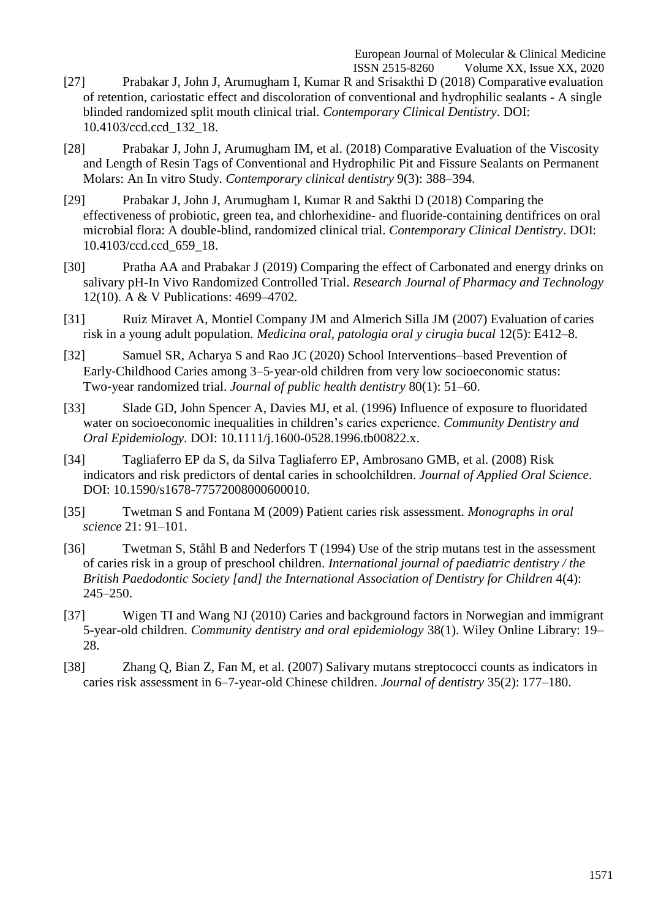- [27] [Prabakar J, John J, Arumugham I, Kumar R and Srisakthi D \(2018\) Comparative](http://paperpile.com/b/GASxxt/z3B3) evaluatio[n](http://paperpile.com/b/GASxxt/z3B3) [of retention, cariostatic effect and discoloration of conventional and hydrophilic sealants -](http://paperpile.com/b/GASxxt/z3B3) A singl[e](http://paperpile.com/b/GASxxt/z3B3) [blinded randomized split mouth clinical trial.](http://paperpile.com/b/GASxxt/z3B3) *Contemporary Clinical Dentistry*. DOI[:](http://paperpile.com/b/GASxxt/z3B3) [10.4103/ccd.ccd\\_132\\_18.](http://dx.doi.org/10.4103/ccd.ccd_132_18)
- [28] [Prabakar J, John J, Arumugham IM, et al. \(2018\) Comparative Evaluation of the Viscosity](http://paperpile.com/b/GASxxt/UwzY) [and Length of Resin Tags of Conventional and Hydrophilic Pit and Fissure Sealants on](http://paperpile.com/b/GASxxt/UwzY) Permanen[t](http://paperpile.com/b/GASxxt/UwzY) Molars: An In vitro Study. *[Contemporary clinical dentistry](http://paperpile.com/b/GASxxt/UwzY)* 9(3): 388–394.
- [29] [Prabakar J, John J, Arumugham I, Kumar R and Sakthi D \(2018\) Comparing the](http://paperpile.com/b/GASxxt/Ajrs) [effectiveness of probiotic, green tea, and chlorhexidine-](http://paperpile.com/b/GASxxt/Ajrs) and fluoride-containing dentifrices on ora[l](http://paperpile.com/b/GASxxt/Ajrs) [microbial flora: A double-blind, randomized clinical trial.](http://paperpile.com/b/GASxxt/Ajrs) *Contemporary Clinical Dentistry*. DOI[:](http://paperpile.com/b/GASxxt/Ajrs) [10.4103/ccd.ccd\\_659\\_18.](http://dx.doi.org/10.4103/ccd.ccd_659_18)
- [30] Pratha AA and Prabakar J [\(2019\) Comparing the effect of Carbonated and energy drinks on](http://paperpile.com/b/GASxxt/08QU) [salivary pH-In Vivo Randomized Controlled Trial.](http://paperpile.com/b/GASxxt/08QU) *Research Journal of Pharmacy and Technolog[y](http://paperpile.com/b/GASxxt/08QU)* [12\(10\). A & V Publications:](http://paperpile.com/b/GASxxt/08QU) 4699–4702.
- [31] [Ruiz Miravet A, Montiel Company JM and Almerich Silla JM \(2007\) Evaluation of](http://paperpile.com/b/GASxxt/iqYd) carie[s](http://paperpile.com/b/GASxxt/iqYd) risk in a young adult population. *[Medicina oral, patologia oral y cirugia bucal](http://paperpile.com/b/GASxxt/iqYd)* 12(5): E412–8.
- [32] [Samuel SR, Acharya S and Rao JC \(2020\) School Interventions–based Prevention of](http://paperpile.com/b/GASxxt/xoz5) Early-Childhood Caries among 3–5-year-[old children from very low socioeconomic status:](http://paperpile.com/b/GASxxt/xoz5) Two‐year randomized trial. *[Journal of public health dentistry](http://paperpile.com/b/GASxxt/xoz5)* 80(1): 51–60.
- [33] [Slade GD, John Spencer A, Davies MJ, et al. \(1996\) Influence of exposure to](http://paperpile.com/b/GASxxt/kaUR) fluori[d](http://paperpile.com/b/GASxxt/kaUR)ated [water on socioeconomic inequalities in children's caries experience.](http://paperpile.com/b/GASxxt/kaUR) *Community Dentistry an[d](http://paperpile.com/b/GASxxt/kaUR) [Oral Epidemiology](http://paperpile.com/b/GASxxt/kaUR)*. DOI: [10.1111/j.1600-0528.1996.tb00822.x.](http://paperpile.com/b/GASxxt/kaUR)
- [34] [Tagliaferro EP da S, da Silva Tagliaferro EP, Ambrosano GMB, et al. \(2008\) Risk](http://paperpile.com/b/GASxxt/HSFm) [indicators and risk predictors of dental caries in schoolchildren.](http://paperpile.com/b/GASxxt/HSFm) *Journal of Applied Oral Science*[.](http://paperpile.com/b/GASxxt/HSFm) [DOI:](http://paperpile.com/b/GASxxt/HSFm) [10.1590/s1678-77572008000600010.](http://paperpile.com/b/GASxxt/HSFm)
- [35] [Twetman S and Fontana M \(2009\) Patient caries risk assessment.](http://paperpile.com/b/GASxxt/Ql3e) *Monographs in ora[l](http://paperpile.com/b/GASxxt/Ql3e) science* 21: [91–101.](http://paperpile.com/b/GASxxt/Ql3e)
- [36] [Twetman S, Ståhl B and Nederfors T \(1994\) Use of the strip mutans test in the assessment](http://paperpile.com/b/GASxxt/CnHT) of caries risk in a group of preschool children. *[International journal of paediatric dentistry / the](http://paperpile.com/b/GASxxt/CnHT) British Paedodontic Society [and] the International Association of Dentistry for Children* 4(4)[:](http://paperpile.com/b/GASxxt/CnHT) [245–250.](http://paperpile.com/b/GASxxt/CnHT)
- [37] [Wigen TI and Wang NJ \(2010\) Caries and background factors in Norwegian and](http://paperpile.com/b/GASxxt/tqOs) immigran[t](http://paperpile.com/b/GASxxt/tqOs) 5-year-old children. *[Community dentistry and oral epidemiology](http://paperpile.com/b/GASxxt/tqOs)* 38(1). Wiley Online Library: 19[–](http://paperpile.com/b/GASxxt/tqOs) [28.](http://paperpile.com/b/GASxxt/tqOs)
- [38] [Zhang Q, Bian Z, Fan M, et al. \(2007\) Salivary mutans streptococci counts as indicators](http://paperpile.com/b/GASxxt/MK3u) i[n](http://paperpile.com/b/GASxxt/MK3u) [caries risk assessment in 6–7-year-old Chinese children.](http://paperpile.com/b/GASxxt/MK3u) *Journal of dentistry* 35(2): 177–180.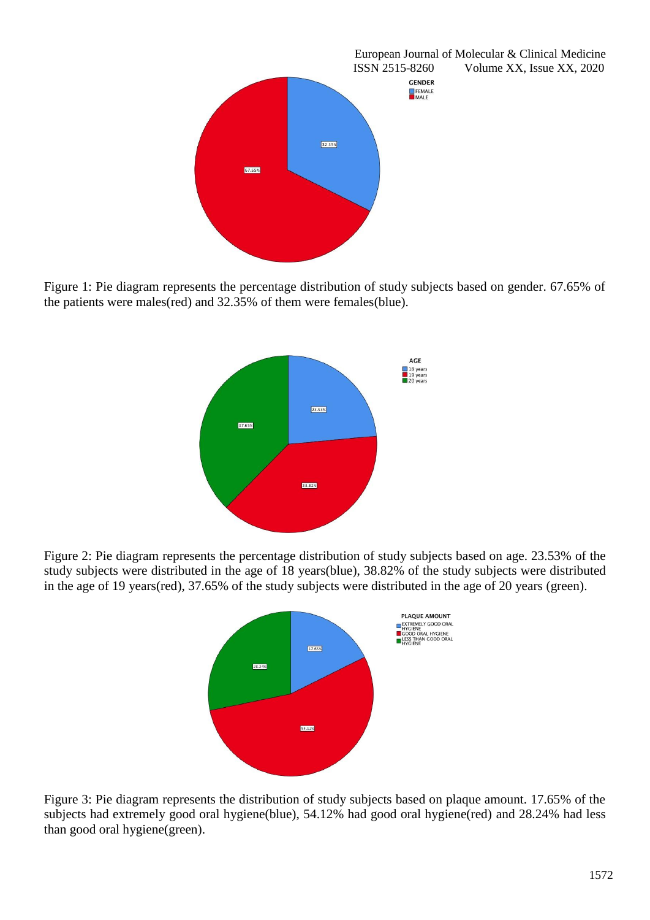

Figure 1: Pie diagram represents the percentage distribution of study subjects based on gender. 67.65% of the patients were males(red) and 32.35% of them were females(blue).



Figure 2: Pie diagram represents the percentage distribution of study subjects based on age. 23.53% of the study subjects were distributed in the age of 18 years(blue), 38.82% of the study subjects were distributed in the age of 19 years(red), 37.65% of the study subjects were distributed in the age of 20 years (green).



Figure 3: Pie diagram represents the distribution of study subjects based on plaque amount. 17.65% of the subjects had extremely good oral hygiene(blue), 54.12% had good oral hygiene(red) and 28.24% had less than good oral hygiene(green).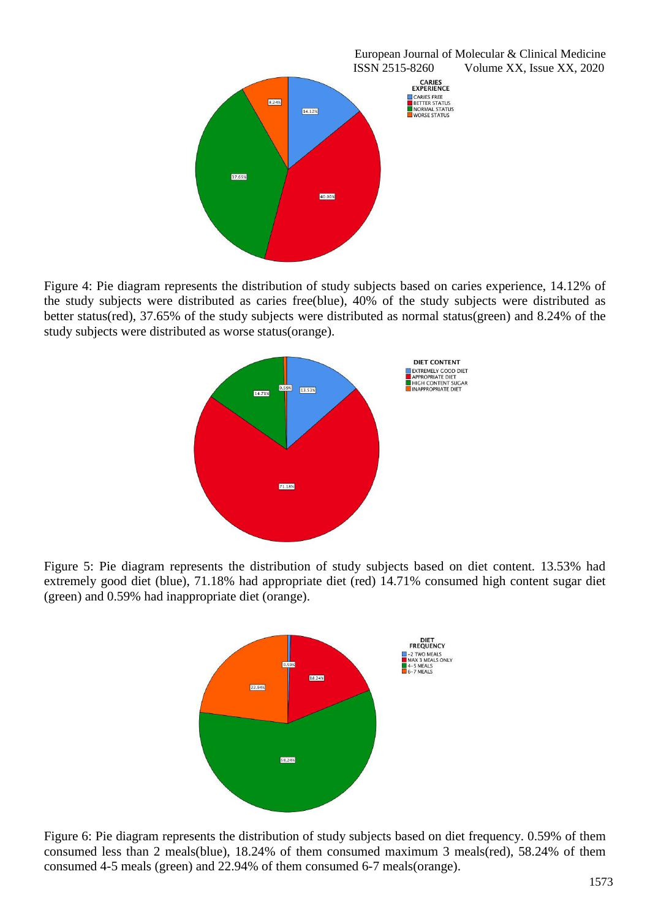

Figure 4: Pie diagram represents the distribution of study subjects based on caries experience, 14.12% of the study subjects were distributed as caries free(blue), 40% of the study subjects were distributed as better status(red), 37.65% of the study subjects were distributed as normal status(green) and 8.24% of the study subjects were distributed as worse status(orange).



Figure 5: Pie diagram represents the distribution of study subjects based on diet content. 13.53% had extremely good diet (blue), 71.18% had appropriate diet (red) 14.71% consumed high content sugar diet (green) and 0.59% had inappropriate diet (orange).



Figure 6: Pie diagram represents the distribution of study subjects based on diet frequency. 0.59% of them consumed less than 2 meals(blue), 18.24% of them consumed maximum 3 meals(red), 58.24% of them consumed 4-5 meals (green) and 22.94% of them consumed 6-7 meals(orange).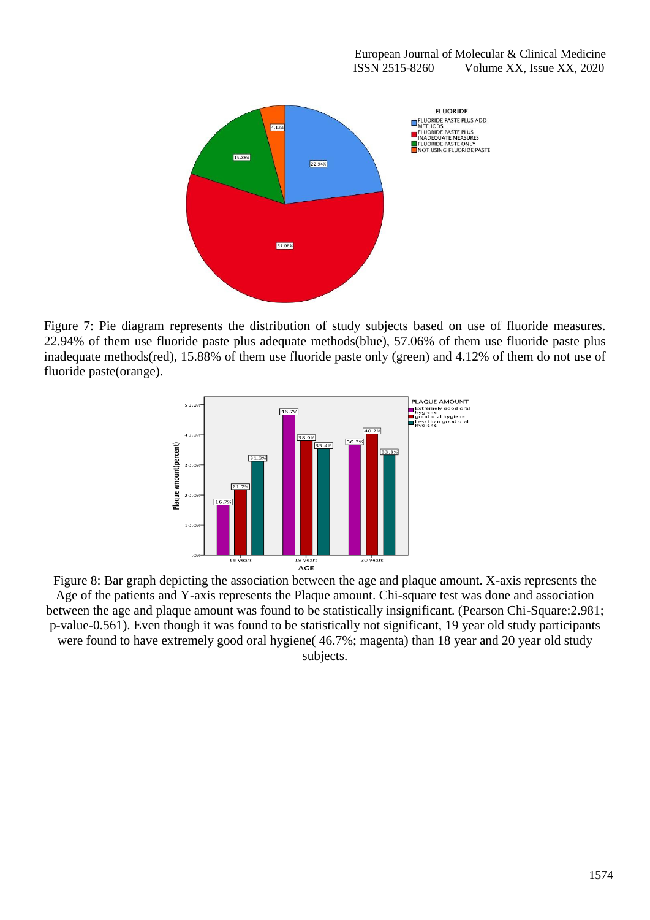

Figure 7: Pie diagram represents the distribution of study subjects based on use of fluoride measures. 22.94% of them use fluoride paste plus adequate methods(blue), 57.06% of them use fluoride paste plus inadequate methods(red), 15.88% of them use fluoride paste only (green) and 4.12% of them do not use of fluoride paste(orange).



Figure 8: Bar graph depicting the association between the age and plaque amount. X-axis represents the Age of the patients and Y-axis represents the Plaque amount. Chi-square test was done and association between the age and plaque amount was found to be statistically insignificant. (Pearson Chi-Square:2.981; p-value-0.561). Even though it was found to be statistically not significant, 19 year old study participants were found to have extremely good oral hygiene( 46.7%; magenta) than 18 year and 20 year old study subjects.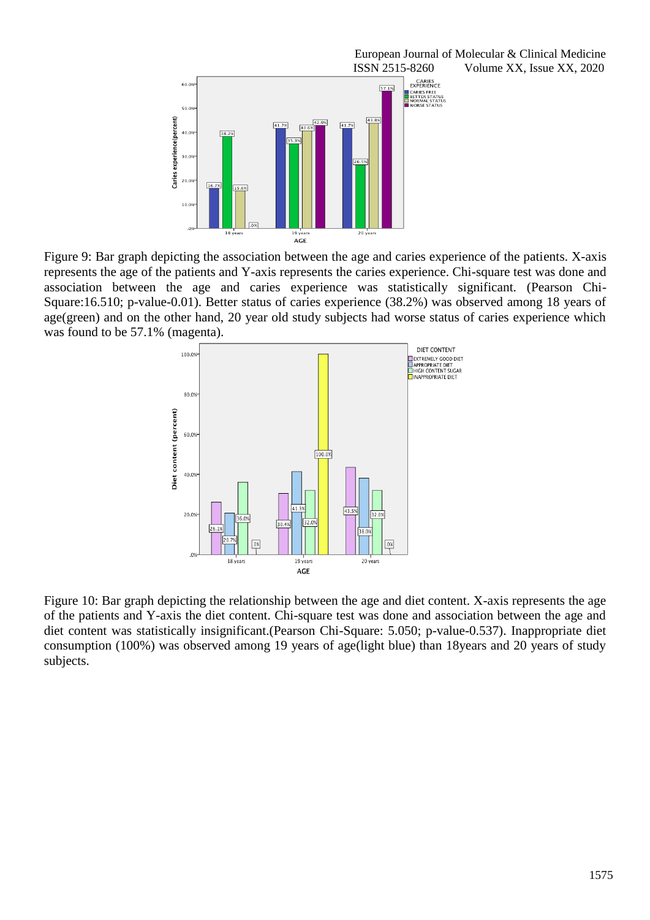

Figure 9: Bar graph depicting the association between the age and caries experience of the patients. X-axis represents the age of the patients and Y-axis represents the caries experience. Chi-square test was done and association between the age and caries experience was statistically significant. (Pearson Chi-Square:16.510; p-value-0.01). Better status of caries experience (38.2%) was observed among 18 years of age(green) and on the other hand, 20 year old study subjects had worse status of caries experience which was found to be 57.1% (magenta).



Figure 10: Bar graph depicting the relationship between the age and diet content. X-axis represents the age of the patients and Y-axis the diet content. Chi-square test was done and association between the age and diet content was statistically insignificant.(Pearson Chi-Square: 5.050; p-value-0.537). Inappropriate diet consumption (100%) was observed among 19 years of age(light blue) than 18years and 20 years of study subjects.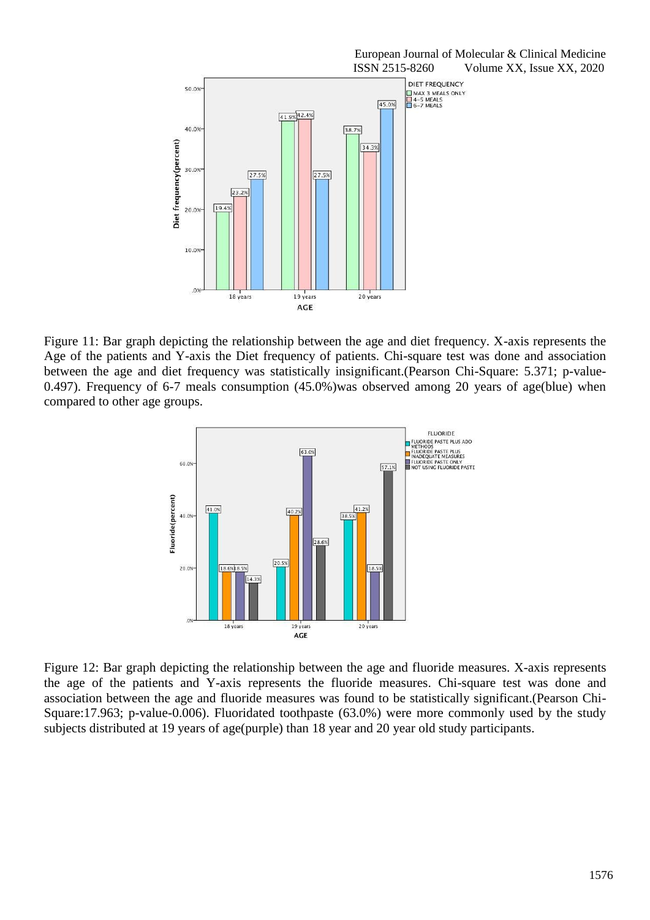

Figure 11: Bar graph depicting the relationship between the age and diet frequency. X-axis represents the Age of the patients and Y-axis the Diet frequency of patients. Chi-square test was done and association between the age and diet frequency was statistically insignificant.(Pearson Chi-Square: 5.371; p-value-0.497). Frequency of 6-7 meals consumption (45.0%)was observed among 20 years of age(blue) when compared to other age groups.



Figure 12: Bar graph depicting the relationship between the age and fluoride measures. X-axis represents the age of the patients and Y-axis represents the fluoride measures. Chi-square test was done and association between the age and fluoride measures was found to be statistically significant.(Pearson Chi-Square:17.963; p-value-0.006). Fluoridated toothpaste (63.0%) were more commonly used by the study subjects distributed at 19 years of age(purple) than 18 year and 20 year old study participants.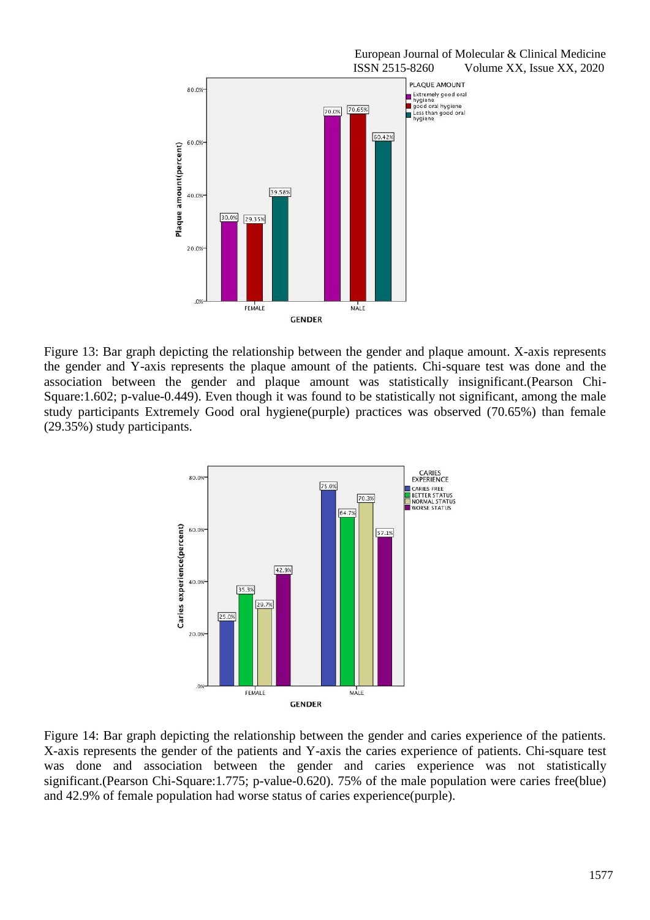

Figure 13: Bar graph depicting the relationship between the gender and plaque amount. X-axis represents the gender and Y-axis represents the plaque amount of the patients. Chi-square test was done and the association between the gender and plaque amount was statistically insignificant.(Pearson Chi-Square:1.602; p-value-0.449). Even though it was found to be statistically not significant, among the male study participants Extremely Good oral hygiene(purple) practices was observed (70.65%) than female (29.35%) study participants.



Figure 14: Bar graph depicting the relationship between the gender and caries experience of the patients. X-axis represents the gender of the patients and Y-axis the caries experience of patients. Chi-square test was done and association between the gender and caries experience was not statistically significant.(Pearson Chi-Square:1.775; p-value-0.620). 75% of the male population were caries free(blue) and 42.9% of female population had worse status of caries experience(purple).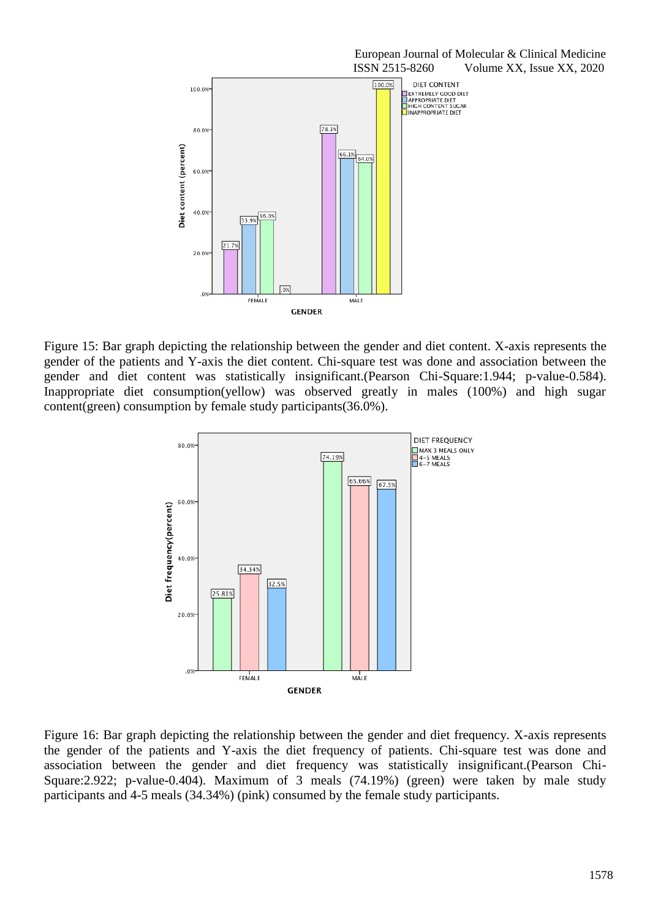

Figure 15: Bar graph depicting the relationship between the gender and diet content. X-axis represents the gender of the patients and Y-axis the diet content. Chi-square test was done and association between the gender and diet content was statistically insignificant.(Pearson Chi-Square:1.944; p-value-0.584). Inappropriate diet consumption(yellow) was observed greatly in males (100%) and high sugar content(green) consumption by female study participants(36.0%).



Figure 16: Bar graph depicting the relationship between the gender and diet frequency. X-axis represents the gender of the patients and Y-axis the diet frequency of patients. Chi-square test was done and association between the gender and diet frequency was statistically insignificant.(Pearson Chi-Square:2.922; p-value-0.404). Maximum of 3 meals (74.19%) (green) were taken by male study participants and 4-5 meals (34.34%) (pink) consumed by the female study participants.